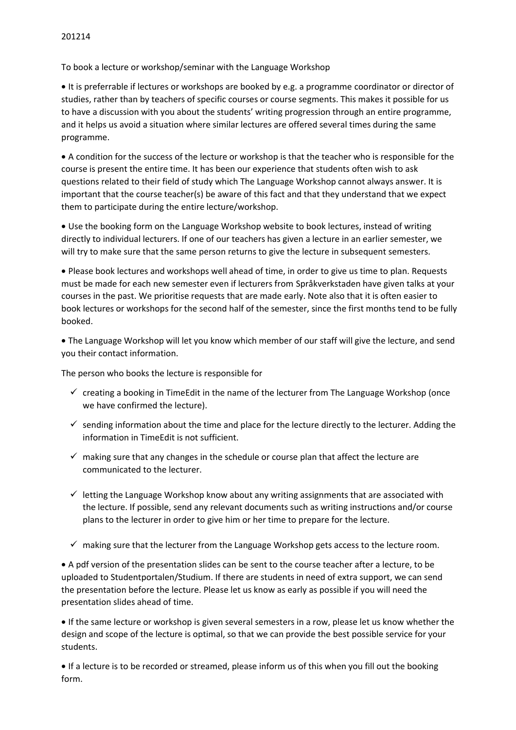To book a lecture or workshop/seminar with the Language Workshop

• It is preferrable if lectures or workshops are booked by e.g. a programme coordinator or director of studies, rather than by teachers of specific courses or course segments. This makes it possible for us to have a discussion with you about the students' writing progression through an entire programme, and it helps us avoid a situation where similar lectures are offered several times during the same programme.

• A condition for the success of the lecture or workshop is that the teacher who is responsible for the course is present the entire time. It has been our experience that students often wish to ask questions related to their field of study which The Language Workshop cannot always answer. It is important that the course teacher(s) be aware of this fact and that they understand that we expect them to participate during the entire lecture/workshop.

• Use the booking form on the Language Workshop website to book lectures, instead of writing directly to individual lecturers. If one of our teachers has given a lecture in an earlier semester, we will try to make sure that the same person returns to give the lecture in subsequent semesters.

• Please book lectures and workshops well ahead of time, in order to give us time to plan. Requests must be made for each new semester even if lecturers from Språkverkstaden have given talks at your courses in the past. We prioritise requests that are made early. Note also that it is often easier to book lectures or workshops for the second half of the semester, since the first months tend to be fully booked.

• The Language Workshop will let you know which member of our staff will give the lecture, and send you their contact information.

The person who books the lecture is responsible for

- $\checkmark$  creating a booking in TimeEdit in the name of the lecturer from The Language Workshop (once we have confirmed the lecture).
- $\checkmark$  sending information about the time and place for the lecture directly to the lecturer. Adding the information in TimeEdit is not sufficient.
- $\checkmark$  making sure that any changes in the schedule or course plan that affect the lecture are communicated to the lecturer.
- $\checkmark$  letting the Language Workshop know about any writing assignments that are associated with the lecture. If possible, send any relevant documents such as writing instructions and/or course plans to the lecturer in order to give him or her time to prepare for the lecture.
- $\checkmark$  making sure that the lecturer from the Language Workshop gets access to the lecture room.

• A pdf version of the presentation slides can be sent to the course teacher after a lecture, to be uploaded to Studentportalen/Studium. If there are students in need of extra support, we can send the presentation before the lecture. Please let us know as early as possible if you will need the presentation slides ahead of time.

• If the same lecture or workshop is given several semesters in a row, please let us know whether the design and scope of the lecture is optimal, so that we can provide the best possible service for your students.

• If a lecture is to be recorded or streamed, please inform us of this when you fill out the booking form.